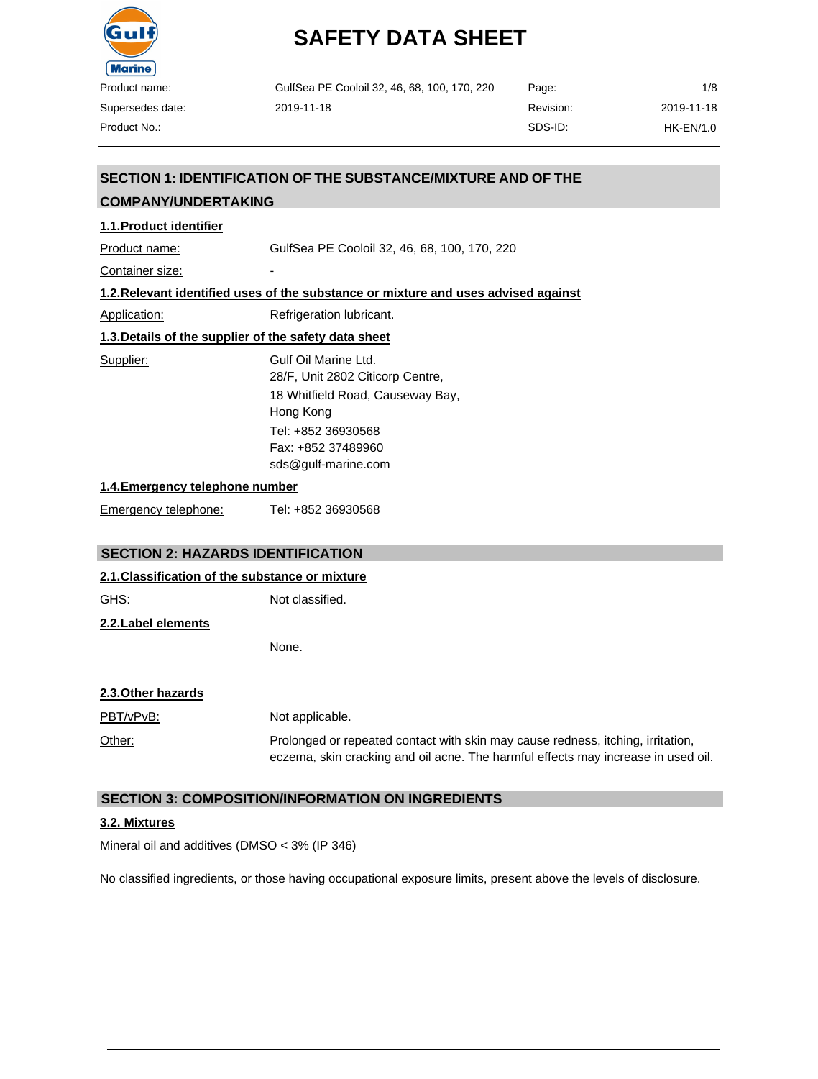

| GulfSea PE Cooloil 32, 46, 68, 100, 170, 220 | Page:     | 1/8        |
|----------------------------------------------|-----------|------------|
| 2019-11-18                                   | Revision: | 2019-11-18 |
|                                              | SDS-ID:   | HK-EN/1.0  |

## **SECTION 1: IDENTIFICATION OF THE SUBSTANCE/MIXTURE AND OF THE**

## **COMPANY/UNDERTAKING**

## **1.1.Product identifier**

Product name: GulfSea PE Cooloil 32, 46, 68, 100, 170, 220

Container size:

#### **1.2.Relevant identified uses of the substance or mixture and uses advised against**

Application: Refrigeration lubricant.

## **1.3.Details of the supplier of the safety data sheet**

Supplier: Gulf Oil Marine Ltd. 28/F, Unit 2802 Citicorp Centre, 18 Whitfield Road, Causeway Bay, Hong Kong Tel: +852 36930568 Fax: +852 37489960 [sds@gulf-marine.com](mailto:sds@gulf-marine.com)

#### **1.4.Emergency telephone number**

Emergency telephone: Tel: +852 36930568

### **SECTION 2: HAZARDS IDENTIFICATION**

#### **2.1.Classification of the substance or mixture**

GHS: Not classified. **2.2.Label elements**

None.

### **2.3.Other hazards**

PBT/vPvB: Not applicable. Other: Prolonged or repeated contact with skin may cause redness, itching, irritation, eczema, skin cracking and oil acne. The harmful effects may increase in used oil.

### **SECTION 3: COMPOSITION/INFORMATION ON INGREDIENTS**

### **3.2. Mixtures**

Mineral oil and additives (DMSO < 3% (IP 346)

No classified ingredients, or those having occupational exposure limits, present above the levels of disclosure.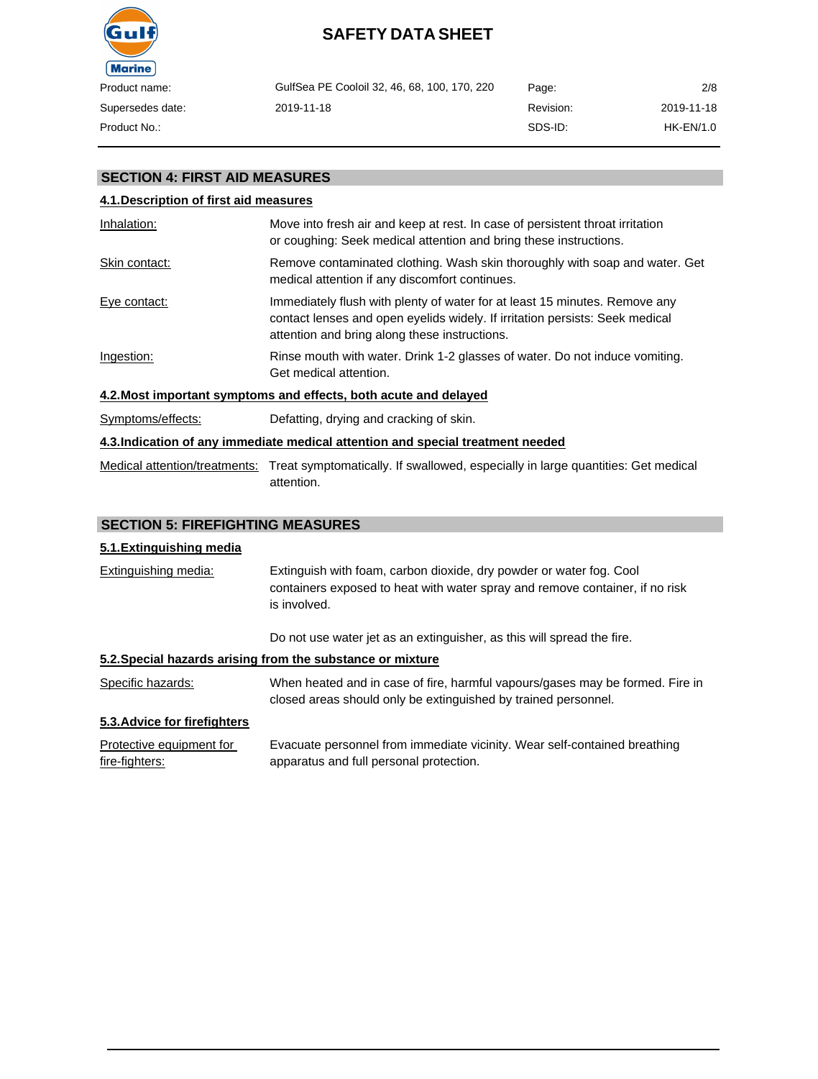

| GulfSea PE Cooloil 32, 46, 68, 100, 170, 220 | Page:     | 2/8        |
|----------------------------------------------|-----------|------------|
| 2019-11-18                                   | Revision: | 2019-11-18 |
|                                              | SDS-ID:   | HK-EN/1.0  |

## **SECTION 4: FIRST AID MEASURES**

## **4.1.Description of first aid measures** Inhalation: Move into fresh air and keep at rest. In case of persistent throat irritation or coughing: Seek medical attention and bring these instructions. Skin contact: Remove contaminated clothing. Wash skin thoroughly with soap and water. Get medical attention if any discomfort continues. Eye contact: Immediately flush with plenty of water for at least 15 minutes. Remove any contact lenses and open eyelids widely. If irritation persists: Seek medical attention and bring along these instructions. Ingestion: Rinse mouth with water. Drink 1-2 glasses of water. Do not induce vomiting. Get medical attention. **4.2.Most important symptoms and effects, both acute and delayed** Symptoms/effects: Defatting, drying and cracking of skin. **4.3.Indication of any immediate medical attention and special treatment needed** Medical attention/treatments: Treat symptomatically. If swallowed, especially in large quantities: Get medical attention.

## **SECTION 5: FIREFIGHTING MEASURES**

### **5.1.Extinguishing media**

Extinguishing media: Extinguish with foam, carbon dioxide, dry powder or water fog. Cool containers exposed to heat with water spray and remove container, if no risk is involved.

Do not use water jet as an extinguisher, as this will spread the fire.

## **5.2.Special hazards arising from the substance or mixture**

Specific hazards: When heated and in case of fire, harmful vapours/gases may be formed. Fire in closed areas should only be extinguished by trained personnel.

### **5.3.Advice for firefighters**

| Protective equipment for | Evacuate personnel from immediate vicinity. Wear self-contained breathing |
|--------------------------|---------------------------------------------------------------------------|
| fire-fighters:           | apparatus and full personal protection.                                   |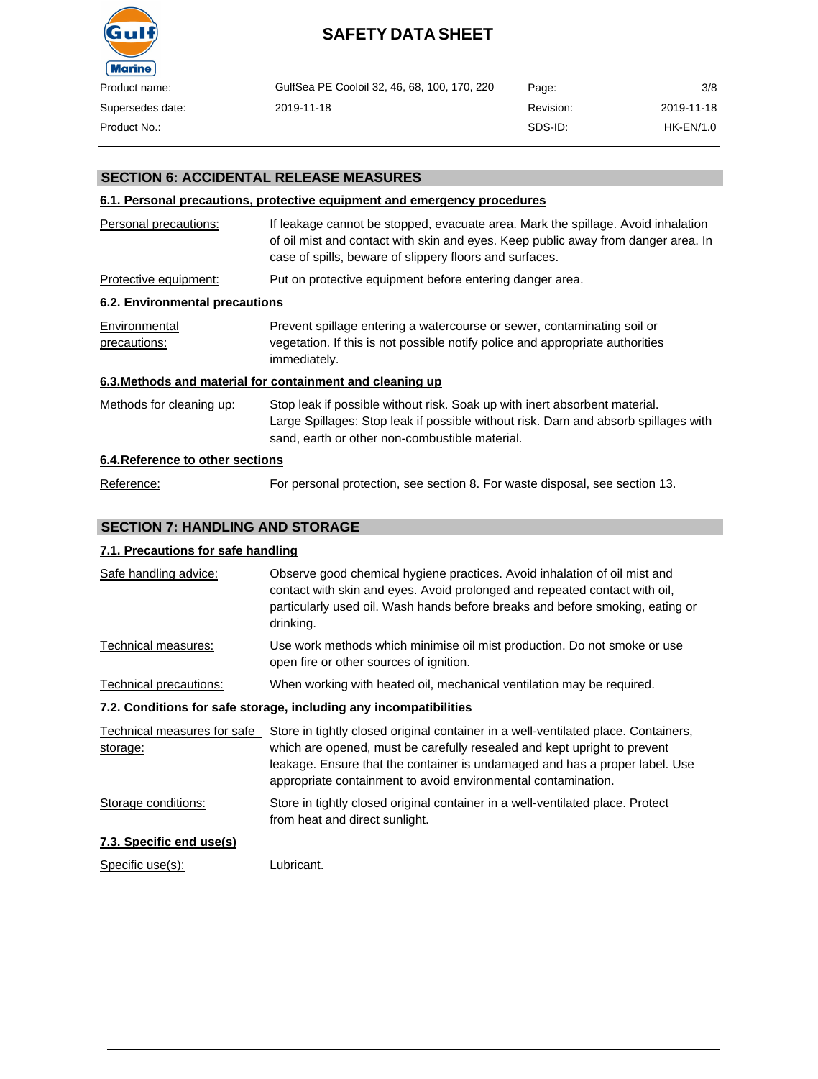

| GulfSea PE Cooloil 32, 46, 68, 100, 170, 220 | Page:     | 3/8        |
|----------------------------------------------|-----------|------------|
| 2019-11-18                                   | Revision: | 2019-11-18 |
|                                              | SDS-ID:   | HK-EN/1.0  |

## **SECTION 6: ACCIDENTAL RELEASE MEASURES**

## **6.1. Personal precautions, protective equipment and emergency procedures**

| Personal precautions:            | If leakage cannot be stopped, evacuate area. Mark the spillage. Avoid inhalation<br>of oil mist and contact with skin and eyes. Keep public away from danger area. In<br>case of spills, beware of slippery floors and surfaces. |
|----------------------------------|----------------------------------------------------------------------------------------------------------------------------------------------------------------------------------------------------------------------------------|
| Protective equipment:            | Put on protective equipment before entering danger area.                                                                                                                                                                         |
| 6.2. Environmental precautions   |                                                                                                                                                                                                                                  |
| Environmental<br>precautions:    | Prevent spillage entering a watercourse or sewer, contaminating soil or<br>vegetation. If this is not possible notify police and appropriate authorities<br>immediately.                                                         |
|                                  | 6.3. Methods and material for containment and cleaning up                                                                                                                                                                        |
| Methods for cleaning up:         | Stop leak if possible without risk. Soak up with inert absorbent material.<br>Large Spillages: Stop leak if possible without risk. Dam and absorb spillages with<br>sand, earth or other non-combustible material.               |
| 6.4. Reference to other sections |                                                                                                                                                                                                                                  |
| Reference:                       | For personal protection, see section 8. For waste disposal, see section 13.                                                                                                                                                      |

## **SECTION 7: HANDLING AND STORAGE**

### **7.1. Precautions for safe handling**

| Safe handling advice:                   | Observe good chemical hygiene practices. Avoid inhalation of oil mist and<br>contact with skin and eyes. Avoid prolonged and repeated contact with oil,<br>particularly used oil. Wash hands before breaks and before smoking, eating or<br>drinking.                                                          |
|-----------------------------------------|----------------------------------------------------------------------------------------------------------------------------------------------------------------------------------------------------------------------------------------------------------------------------------------------------------------|
| Technical measures:                     | Use work methods which minimise oil mist production. Do not smoke or use<br>open fire or other sources of ignition.                                                                                                                                                                                            |
| Technical precautions:                  | When working with heated oil, mechanical ventilation may be required.                                                                                                                                                                                                                                          |
|                                         | 7.2. Conditions for safe storage, including any incompatibilities                                                                                                                                                                                                                                              |
| Technical measures for safe<br>storage: | Store in tightly closed original container in a well-ventilated place. Containers,<br>which are opened, must be carefully resealed and kept upright to prevent<br>leakage. Ensure that the container is undamaged and has a proper label. Use<br>appropriate containment to avoid environmental contamination. |
| Storage conditions:                     | Store in tightly closed original container in a well-ventilated place. Protect<br>from heat and direct sunlight.                                                                                                                                                                                               |
| 7.3. Specific end use(s)                |                                                                                                                                                                                                                                                                                                                |
| Specific use(s):                        | Lubricant.                                                                                                                                                                                                                                                                                                     |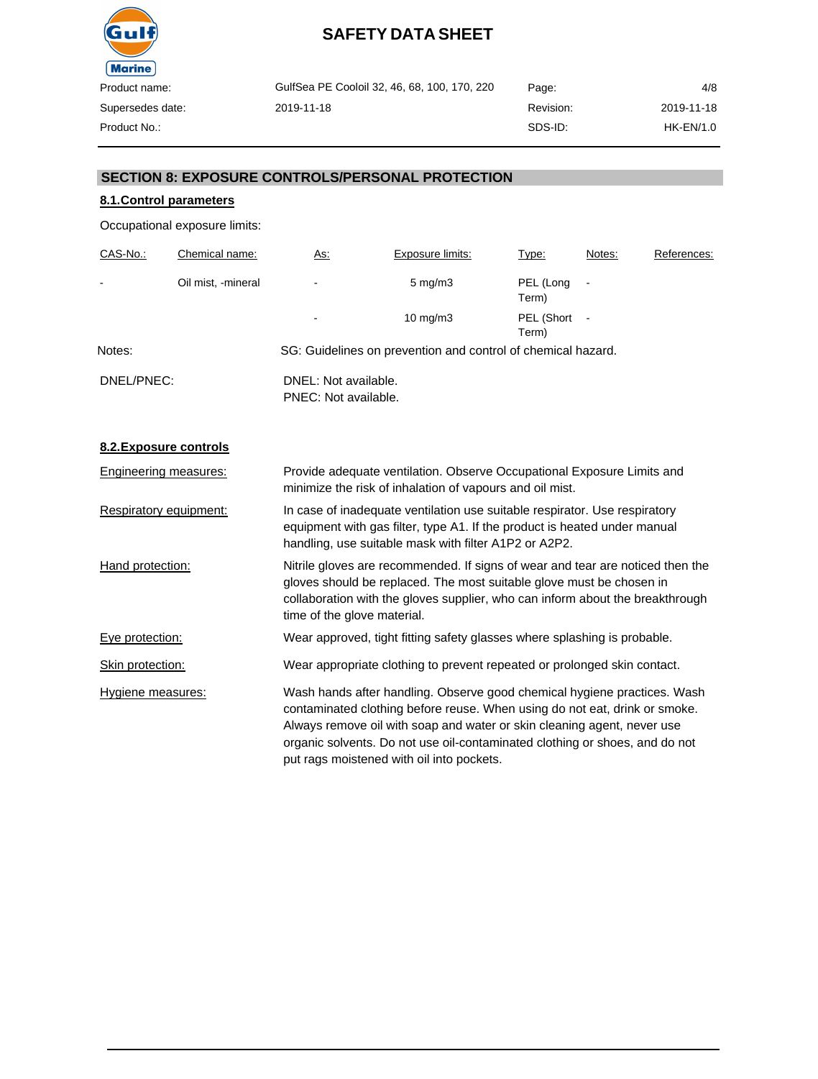

GulfSea PE Cooloil 32, 46, 68, 100, 170, 220 2019-11-18 Page: Revision: SDS-ID: 2019-11-18 HK-EN/1.0

4/8

Product No.:

## **SECTION 8: EXPOSURE CONTROLS/PERSONAL PROTECTION**

## **8.1.Control parameters**

Occupational exposure limits:

| CAS-No.:       | Chemical name:     | <u>As:</u>                                   | Exposure limits:                                             | Type:               | Notes: | References: |
|----------------|--------------------|----------------------------------------------|--------------------------------------------------------------|---------------------|--------|-------------|
| $\blacksquare$ | Oil mist, -mineral | ٠                                            | $5 \text{ mg/m}$ 3                                           | PEL (Long<br>Term)  |        |             |
|                |                    | ۰                                            | $10 \text{ mg/m}$                                            | PEL (Short<br>Term) |        |             |
| Notes:         |                    |                                              | SG: Guidelines on prevention and control of chemical hazard. |                     |        |             |
| DNEL/PNEC:     |                    | DNEL: Not available.<br>PNEC: Not available. |                                                              |                     |        |             |

## **8.2.Exposure controls**

| Engineering measures:  | Provide adequate ventilation. Observe Occupational Exposure Limits and<br>minimize the risk of inhalation of vapours and oil mist.                                                                                                                                                                                                                            |
|------------------------|---------------------------------------------------------------------------------------------------------------------------------------------------------------------------------------------------------------------------------------------------------------------------------------------------------------------------------------------------------------|
| Respiratory equipment: | In case of inadequate ventilation use suitable respirator. Use respiratory<br>equipment with gas filter, type A1. If the product is heated under manual<br>handling, use suitable mask with filter A1P2 or A2P2.                                                                                                                                              |
| Hand protection:       | Nitrile gloves are recommended. If signs of wear and tear are noticed then the<br>gloves should be replaced. The most suitable glove must be chosen in<br>collaboration with the gloves supplier, who can inform about the breakthrough<br>time of the glove material.                                                                                        |
| Eye protection:        | Wear approved, tight fitting safety glasses where splashing is probable.                                                                                                                                                                                                                                                                                      |
| Skin protection:       | Wear appropriate clothing to prevent repeated or prolonged skin contact.                                                                                                                                                                                                                                                                                      |
| Hygiene measures:      | Wash hands after handling. Observe good chemical hygiene practices. Wash<br>contaminated clothing before reuse. When using do not eat, drink or smoke.<br>Always remove oil with soap and water or skin cleaning agent, never use<br>organic solvents. Do not use oil-contaminated clothing or shoes, and do not<br>put rags moistened with oil into pockets. |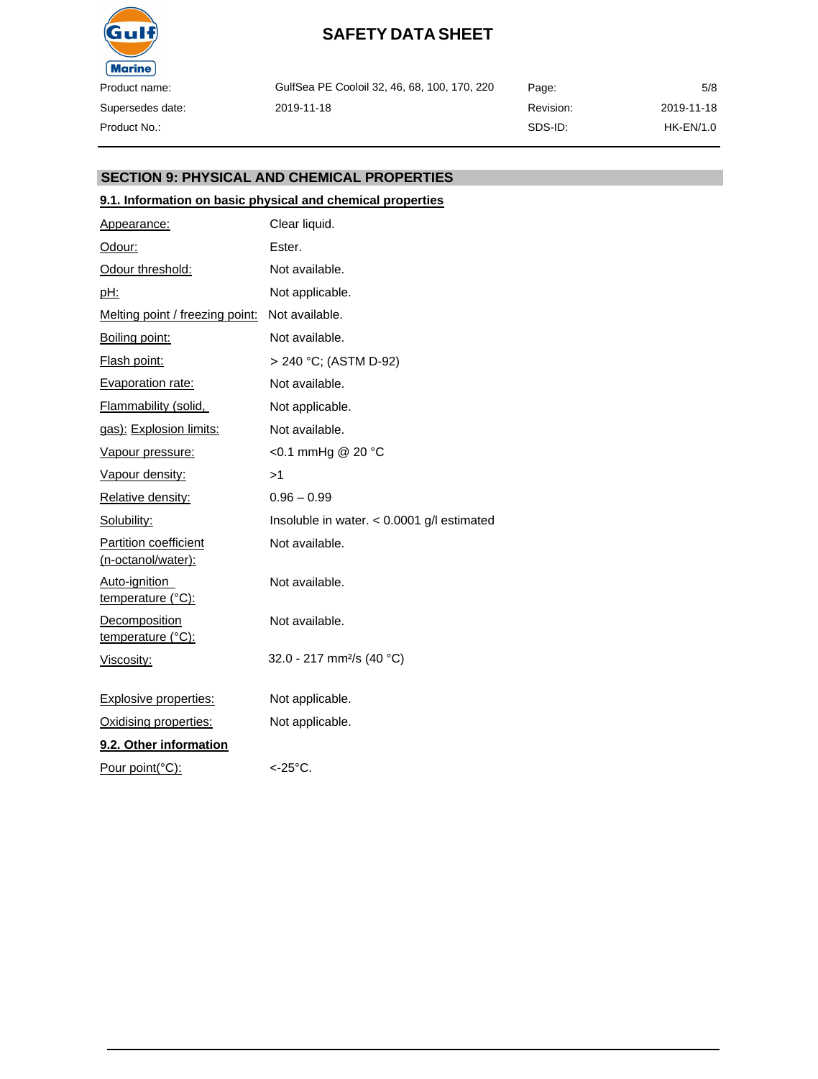

GulfSea PE Cooloil 32, 46, 68, 100, 170, 220 2019-11-18

Revision: SDS-ID: 5/8 2019-11-18 HK-EN/1.0

Page:

## **SECTION 9: PHYSICAL AND CHEMICAL PROPERTIES**

## **9.1. Information on basic physical and chemical properties**

| Appearance:                                        | Clear liquid.                                |
|----------------------------------------------------|----------------------------------------------|
| Odour:                                             | Ester.                                       |
| Odour threshold:                                   | Not available.                               |
| <u>pH:</u>                                         | Not applicable.                              |
| <u>Melting point / freezing point:</u>             | Not available.                               |
| Boiling point:                                     | Not available.                               |
| Flash point:                                       | > 240 °C; (ASTM D-92)                        |
| Evaporation rate:                                  | Not available.                               |
| Flammability (solid,                               | Not applicable.                              |
| gas): Explosion limits:                            | Not available.                               |
| Vapour pressure:                                   | <0.1 mmHg @ 20 °C                            |
| Vapour density:                                    | >1                                           |
| Relative density:                                  | $0.96 - 0.99$                                |
| Solubility:                                        | Insoluble in water. $< 0.0001$ g/l estimated |
| <b>Partition coefficient</b><br>(n-octanol/water): | Not available.                               |
| Auto-ignition<br>temperature (°C):                 | Not available.                               |
| <b>Decomposition</b><br>temperature (°C):          | Not available.                               |
| Viscosity:                                         | 32.0 - 217 mm <sup>2</sup> /s (40 °C)        |
| <b>Explosive properties:</b>                       | Not applicable.                              |
| Oxidising properties:                              | Not applicable.                              |
| 9.2. Other information                             |                                              |
| Pour point(°C):                                    | <-25°C.                                      |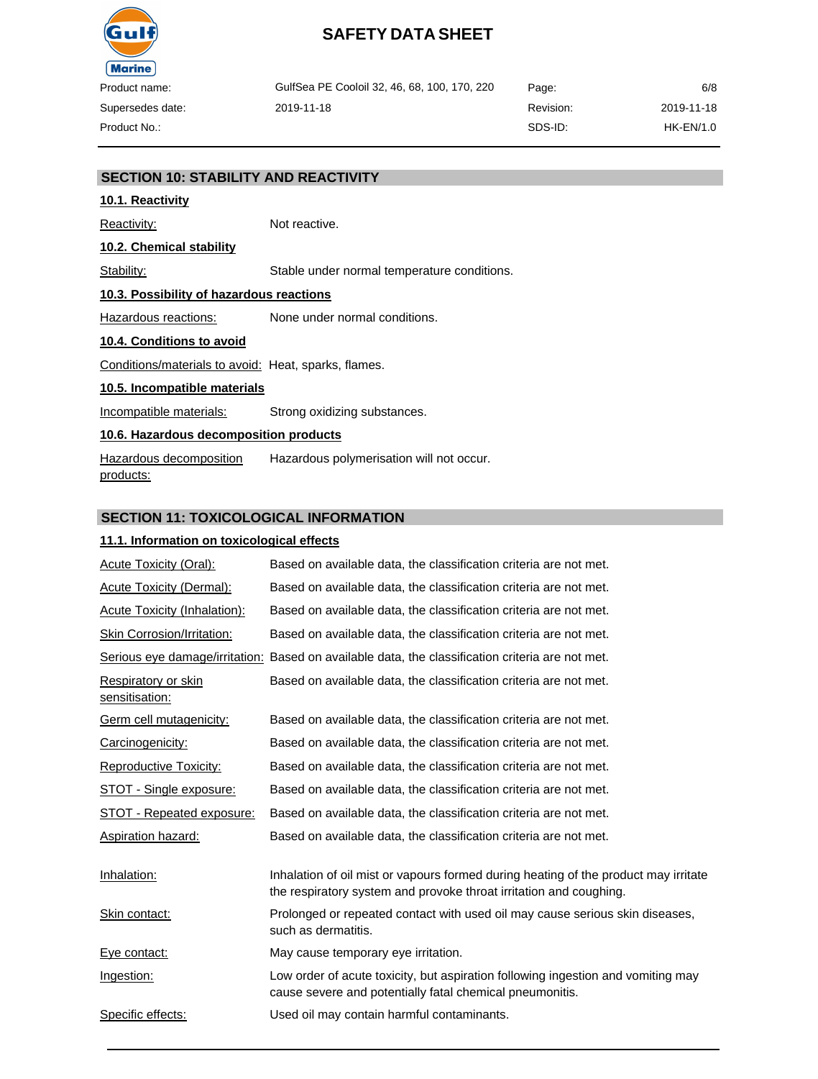

GulfSea PE Cooloil 32, 46, 68, 100, 170, 220 2019-11-18 Page: Revision: SDS-ID: 2019-11-18 HK-EN/1.0

6/8

## **SECTION 10: STABILITY AND REACTIVITY**

# **10.1. Reactivity**

Reactivity: Not reactive.

#### **10.2. Chemical stability**

Stability: Stable under normal temperature conditions.

### **10.3. Possibility of hazardous reactions**

Hazardous reactions: None under normal conditions.

#### **10.4. Conditions to avoid**

Conditions/materials to avoid: Heat, sparks, flames.

#### **10.5. Incompatible materials**

Incompatible materials: Strong oxidizing substances.

## **10.6. Hazardous decomposition products**

Hazardous decomposition products: Hazardous polymerisation will not occur.

### **SECTION 11: TOXICOLOGICAL INFORMATION**

#### **11.1. Information on toxicological effects**

| <b>Acute Toxicity (Oral):</b>         | Based on available data, the classification criteria are not met.                                                                                         |
|---------------------------------------|-----------------------------------------------------------------------------------------------------------------------------------------------------------|
| <b>Acute Toxicity (Dermal):</b>       | Based on available data, the classification criteria are not met.                                                                                         |
| <b>Acute Toxicity (Inhalation):</b>   | Based on available data, the classification criteria are not met.                                                                                         |
| <b>Skin Corrosion/Irritation:</b>     | Based on available data, the classification criteria are not met.                                                                                         |
|                                       | Serious eye damage/irritation: Based on available data, the classification criteria are not met.                                                          |
| Respiratory or skin<br>sensitisation: | Based on available data, the classification criteria are not met.                                                                                         |
| Germ cell mutagenicity:               | Based on available data, the classification criteria are not met.                                                                                         |
| Carcinogenicity:                      | Based on available data, the classification criteria are not met.                                                                                         |
| <b>Reproductive Toxicity:</b>         | Based on available data, the classification criteria are not met.                                                                                         |
| STOT - Single exposure:               | Based on available data, the classification criteria are not met.                                                                                         |
| <b>STOT - Repeated exposure:</b>      | Based on available data, the classification criteria are not met.                                                                                         |
| Aspiration hazard:                    | Based on available data, the classification criteria are not met.                                                                                         |
| Inhalation:                           | Inhalation of oil mist or vapours formed during heating of the product may irritate<br>the respiratory system and provoke throat irritation and coughing. |
| Skin contact:                         | Prolonged or repeated contact with used oil may cause serious skin diseases,<br>such as dermatitis.                                                       |
| Eye contact:                          | May cause temporary eye irritation.                                                                                                                       |
| Ingestion:                            | Low order of acute toxicity, but aspiration following ingestion and vomiting may<br>cause severe and potentially fatal chemical pneumonitis.              |
| Specific effects:                     | Used oil may contain harmful contaminants.                                                                                                                |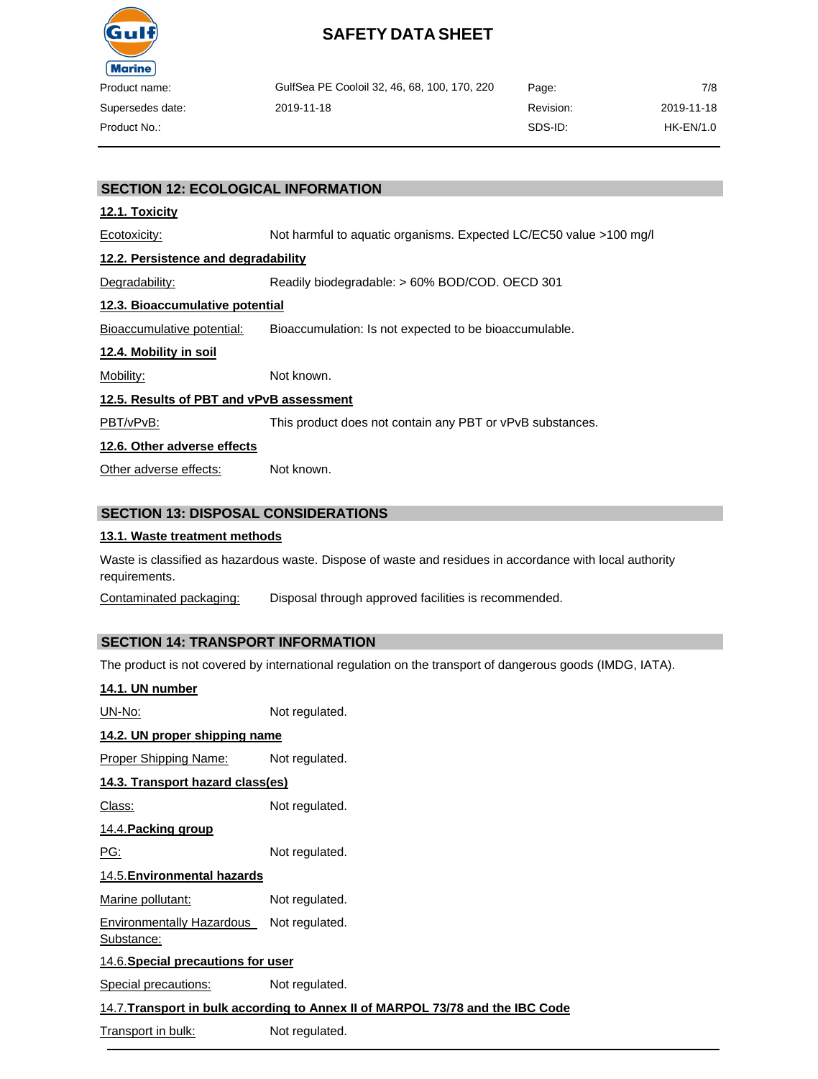

| ct name:    | GulfSea PE Cooloil 32, 46, 68, 100, 170, 220 | Page:     | 7/8        |
|-------------|----------------------------------------------|-----------|------------|
| sedes date: | 2019-11-18                                   | Revision: | 2019-11-18 |
| ct No.:     |                                              | SDS-ID:   | HK-EN/1.0  |

## **SECTION 12: ECOLOGICAL INFORMATION**

#### **12.1. Toxicity**

Ecotoxicity: Not harmful to aquatic organisms. Expected LC/EC50 value >100 mg/l **12.2. Persistence and degradability** Degradability: Readily biodegradable: > 60% BOD/COD. OECD 301 **12.3. Bioaccumulative potential** Bioaccumulative potential: Bioaccumulation: Is not expected to be bioaccumulable. **12.4. Mobility in soil** Mobility: Not known. **12.5. Results of PBT and vPvB assessment** PBT/vPvB: This product does not contain any PBT or vPvB substances. **12.6. Other adverse effects** Other adverse effects: Not known.

## **SECTION 13: DISPOSAL CONSIDERATIONS**

#### **13.1. Waste treatment methods**

Waste is classified as hazardous waste. Dispose of waste and residues in accordance with local authority requirements.

Contaminated packaging: Disposal through approved facilities is recommended.

### **SECTION 14: TRANSPORT INFORMATION**

The product is not covered by international regulation on the transport of dangerous goods (IMDG, IATA).

| 14.1. UN number                                |                                                                                |
|------------------------------------------------|--------------------------------------------------------------------------------|
| <u> UN-No:</u>                                 | Not regulated.                                                                 |
| 14.2. UN proper shipping name                  |                                                                                |
| Proper Shipping Name:                          | Not regulated.                                                                 |
| 14.3. Transport hazard class(es)               |                                                                                |
| <u> Class:</u>                                 | Not regulated.                                                                 |
| 14.4. Packing group                            |                                                                                |
| <u>PG:</u>                                     | Not regulated.                                                                 |
| 14.5. Environmental hazards                    |                                                                                |
| Marine pollutant:                              | Not regulated.                                                                 |
| <b>Environmentally Hazardous</b><br>Substance: | Not regulated.                                                                 |
| 14.6. Special precautions for user             |                                                                                |
| <u>Special precautions:</u>                    | Not regulated.                                                                 |
|                                                | 14.7. Transport in bulk according to Annex II of MARPOL 73/78 and the IBC Code |
| Transport in bulk:                             | Not regulated.                                                                 |